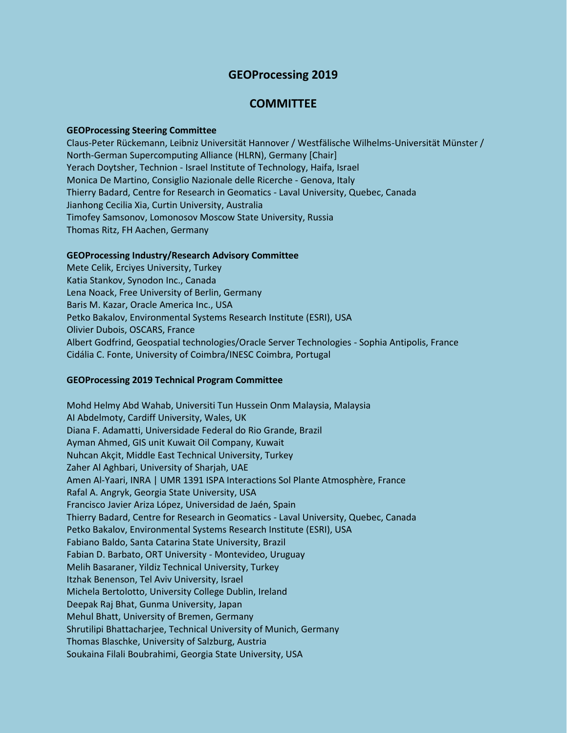# **GEOProcessing 2019**

## **COMMITTEE**

#### **GEOProcessing Steering Committee**

Claus-Peter Rückemann, Leibniz Universität Hannover / Westfälische Wilhelms-Universität Münster / North-German Supercomputing Alliance (HLRN), Germany [Chair] Yerach Doytsher, Technion - Israel Institute of Technology, Haifa, Israel Monica De Martino, Consiglio Nazionale delle Ricerche - Genova, Italy Thierry Badard, Centre for Research in Geomatics - Laval University, Quebec, Canada Jianhong Cecilia Xia, Curtin University, Australia Timofey Samsonov, Lomonosov Moscow State University, Russia Thomas Ritz, FH Aachen, Germany

### **GEOProcessing Industry/Research Advisory Committee**

Mete Celik, Erciyes University, Turkey Katia Stankov, Synodon Inc., Canada Lena Noack, Free University of Berlin, Germany Baris M. Kazar, Oracle America Inc., USA Petko Bakalov, Environmental Systems Research Institute (ESRI), USA Olivier Dubois, OSCARS, France Albert Godfrind, Geospatial technologies/Oracle Server Technologies - Sophia Antipolis, France Cidália C. Fonte, University of Coimbra/INESC Coimbra, Portugal

#### **GEOProcessing 2019 Technical Program Committee**

Mohd Helmy Abd Wahab, Universiti Tun Hussein Onm Malaysia, Malaysia AI Abdelmoty, Cardiff University, Wales, UK Diana F. Adamatti, Universidade Federal do Rio Grande, Brazil Ayman Ahmed, GIS unit Kuwait Oil Company, Kuwait Nuhcan Akçit, Middle East Technical University, Turkey Zaher Al Aghbari, University of Sharjah, UAE Amen Al-Yaari, INRA | UMR 1391 ISPA Interactions Sol Plante Atmosphère, France Rafal A. Angryk, Georgia State University, USA Francisco Javier Ariza López, Universidad de Jaén, Spain Thierry Badard, Centre for Research in Geomatics - Laval University, Quebec, Canada Petko Bakalov, Environmental Systems Research Institute (ESRI), USA Fabiano Baldo, Santa Catarina State University, Brazil Fabian D. Barbato, ORT University - Montevideo, Uruguay Melih Basaraner, Yildiz Technical University, Turkey Itzhak Benenson, Tel Aviv University, Israel Michela Bertolotto, University College Dublin, Ireland Deepak Raj Bhat, Gunma University, Japan Mehul Bhatt, University of Bremen, Germany Shrutilipi Bhattacharjee, Technical University of Munich, Germany Thomas Blaschke, University of Salzburg, Austria Soukaina Filali Boubrahimi, Georgia State University, USA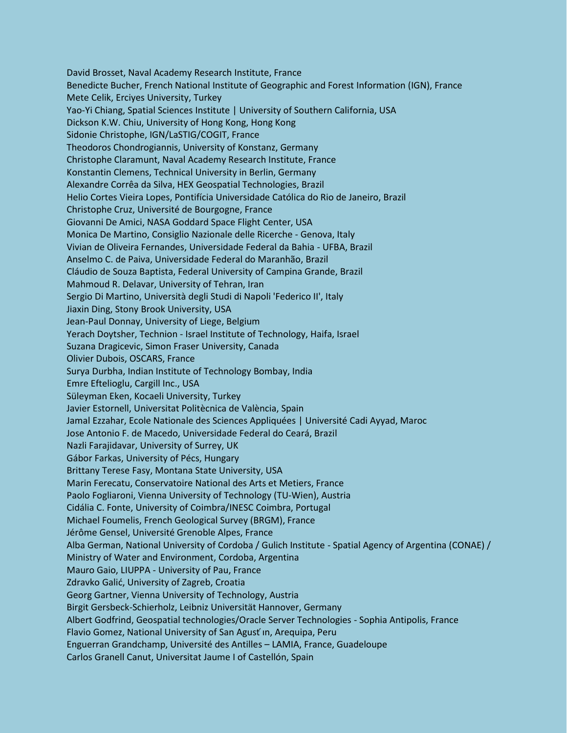David Brosset, Naval Academy Research Institute, France Benedicte Bucher, French National Institute of Geographic and Forest Information (IGN), France Mete Celik, Erciyes University, Turkey Yao-Yi Chiang, Spatial Sciences Institute | University of Southern California, USA Dickson K.W. Chiu, University of Hong Kong, Hong Kong Sidonie Christophe, IGN/LaSTIG/COGIT, France Theodoros Chondrogiannis, University of Konstanz, Germany Christophe Claramunt, Naval Academy Research Institute, France Konstantin Clemens, Technical University in Berlin, Germany Alexandre Corrêa da Silva, HEX Geospatial Technologies, Brazil Helio Cortes Vieira Lopes, Pontifícia Universidade Católica do Rio de Janeiro, Brazil Christophe Cruz, Université de Bourgogne, France Giovanni De Amici, NASA Goddard Space Flight Center, USA Monica De Martino, Consiglio Nazionale delle Ricerche - Genova, Italy Vivian de Oliveira Fernandes, Universidade Federal da Bahia - UFBA, Brazil Anselmo C. de Paiva, Universidade Federal do Maranhão, Brazil Cláudio de Souza Baptista, Federal University of Campina Grande, Brazil Mahmoud R. Delavar, University of Tehran, Iran Sergio Di Martino, Università degli Studi di Napoli 'Federico II', Italy Jiaxin Ding, Stony Brook University, USA Jean-Paul Donnay, University of Liege, Belgium Yerach Doytsher, Technion - Israel Institute of Technology, Haifa, Israel Suzana Dragicevic, Simon Fraser University, Canada Olivier Dubois, OSCARS, France Surya Durbha, Indian Institute of Technology Bombay, India Emre Eftelioglu, Cargill Inc., USA Süleyman Eken, Kocaeli University, Turkey Javier Estornell, Universitat Politècnica de València, Spain Jamal Ezzahar, Ecole Nationale des Sciences Appliquées | Université Cadi Ayyad, Maroc Jose Antonio F. de Macedo, Universidade Federal do Ceará, Brazil Nazli Farajidavar, University of Surrey, UK Gábor Farkas, University of Pécs, Hungary Brittany Terese Fasy, Montana State University, USA Marin Ferecatu, Conservatoire National des Arts et Metiers, France Paolo Fogliaroni, Vienna University of Technology (TU-Wien), Austria Cidália C. Fonte, University of Coimbra/INESC Coimbra, Portugal Michael Foumelis, French Geological Survey (BRGM), France Jérôme Gensel, Université Grenoble Alpes, France Alba German, National University of Cordoba / Gulich Institute - Spatial Agency of Argentina (CONAE) / Ministry of Water and Environment, Cordoba, Argentina Mauro Gaio, LIUPPA - University of Pau, France Zdravko Galić, University of Zagreb, Croatia Georg Gartner, Vienna University of Technology, Austria Birgit Gersbeck-Schierholz, Leibniz Universität Hannover, Germany Albert Godfrind, Geospatial technologies/Oracle Server Technologies - Sophia Antipolis, France Flavio Gomez, National University of San Agust ́ın, Arequipa, Peru Enguerran Grandchamp, Université des Antilles – LAMIA, France, Guadeloupe Carlos Granell Canut, Universitat Jaume I of Castellón, Spain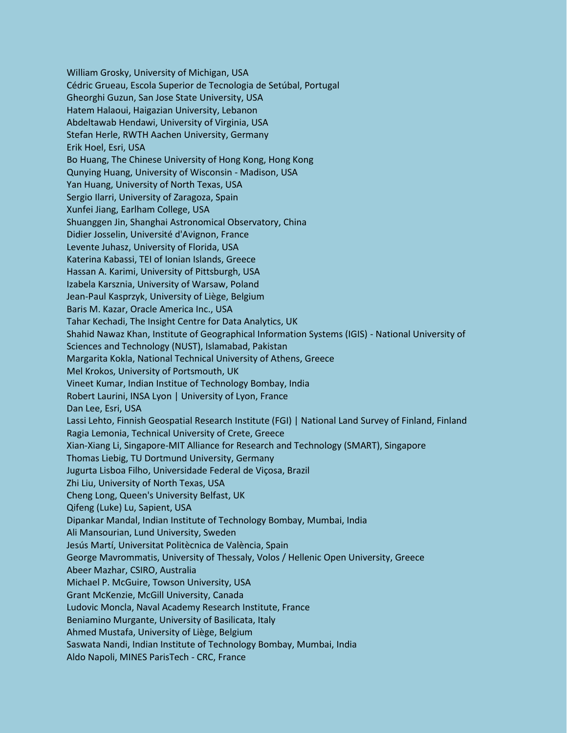William Grosky, University of Michigan, USA Cédric Grueau, Escola Superior de Tecnologia de Setúbal, Portugal Gheorghi Guzun, San Jose State University, USA Hatem Halaoui, Haigazian University, Lebanon Abdeltawab Hendawi, University of Virginia, USA Stefan Herle, RWTH Aachen University, Germany Erik Hoel, Esri, USA Bo Huang, The Chinese University of Hong Kong, Hong Kong Qunying Huang, University of Wisconsin - Madison, USA Yan Huang, University of North Texas, USA Sergio Ilarri, University of Zaragoza, Spain Xunfei Jiang, Earlham College, USA Shuanggen Jin, Shanghai Astronomical Observatory, China Didier Josselin, Université d'Avignon, France Levente Juhasz, University of Florida, USA Katerina Kabassi, TEI of Ionian Islands, Greece Hassan A. Karimi, University of Pittsburgh, USA Izabela Karsznia, University of Warsaw, Poland Jean-Paul Kasprzyk, University of Liège, Belgium Baris M. Kazar, Oracle America Inc., USA Tahar Kechadi, The Insight Centre for Data Analytics, UK Shahid Nawaz Khan, Institute of Geographical Information Systems (IGIS) - National University of Sciences and Technology (NUST), Islamabad, Pakistan Margarita Kokla, National Technical University of Athens, Greece Mel Krokos, University of Portsmouth, UK Vineet Kumar, Indian Institue of Technology Bombay, India Robert Laurini, INSA Lyon | University of Lyon, France Dan Lee, Esri, USA Lassi Lehto, Finnish Geospatial Research Institute (FGI) | National Land Survey of Finland, Finland Ragia Lemonia, Technical University of Crete, Greece Xian-Xiang Li, Singapore-MIT Alliance for Research and Technology (SMART), Singapore Thomas Liebig, TU Dortmund University, Germany Jugurta Lisboa Filho, Universidade Federal de Viçosa, Brazil Zhi Liu, University of North Texas, USA Cheng Long, Queen's University Belfast, UK Qifeng (Luke) Lu, Sapient, USA Dipankar Mandal, Indian Institute of Technology Bombay, Mumbai, India Ali Mansourian, Lund University, Sweden Jesús Martí, Universitat Politècnica de València, Spain George Mavrommatis, University of Thessaly, Volos / Hellenic Open University, Greece Abeer Mazhar, CSIRO, Australia Michael P. McGuire, Towson University, USA Grant McKenzie, McGill University, Canada Ludovic Moncla, Naval Academy Research Institute, France Beniamino Murgante, University of Basilicata, Italy Ahmed Mustafa, University of Liège, Belgium Saswata Nandi, Indian Institute of Technology Bombay, Mumbai, India Aldo Napoli, MINES ParisTech - CRC, France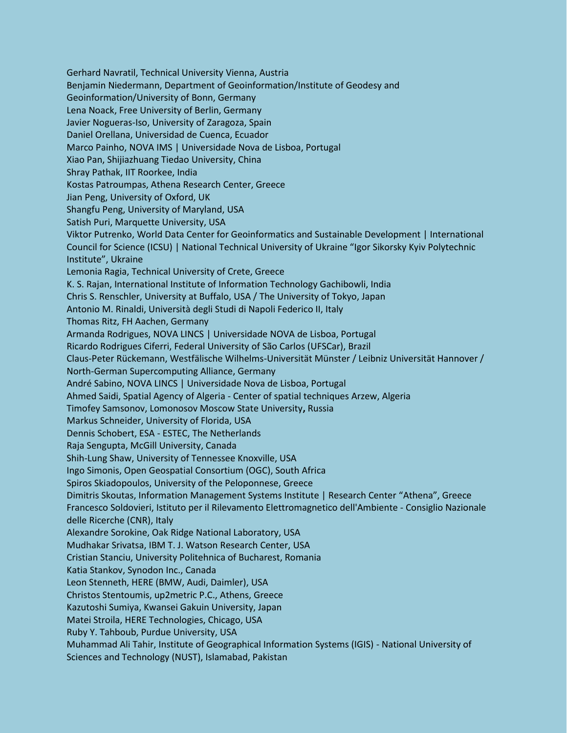Gerhard Navratil, Technical University Vienna, Austria Benjamin Niedermann, Department of Geoinformation/Institute of Geodesy and Geoinformation/University of Bonn, Germany Lena Noack, Free University of Berlin, Germany Javier Nogueras-Iso, University of Zaragoza, Spain Daniel Orellana, Universidad de Cuenca, Ecuador Marco Painho, NOVA IMS | Universidade Nova de Lisboa, Portugal Xiao Pan, Shijiazhuang Tiedao University, China Shray Pathak, IIT Roorkee, India Kostas Patroumpas, Athena Research Center, Greece Jian Peng, University of Oxford, UK Shangfu Peng, University of Maryland, USA Satish Puri, Marquette University, USA Viktor Putrenko, World Data Center for Geoinformatics and Sustainable Development | International Council for Science (ICSU) | National Technical University of Ukraine "Igor Sikorsky Kyiv Polytechnic Institute", Ukraine Lemonia Ragia, Technical University of Crete, Greece K. S. Rajan, International Institute of Information Technology Gachibowli, India Chris S. Renschler, University at Buffalo, USA / The University of Tokyo, Japan Antonio M. Rinaldi, Università degli Studi di Napoli Federico II, Italy Thomas Ritz, FH Aachen, Germany Armanda Rodrigues, NOVA LINCS | Universidade NOVA de Lisboa, Portugal Ricardo Rodrigues Ciferri, Federal University of São Carlos (UFSCar), Brazil Claus-Peter Rückemann, Westfälische Wilhelms-Universität Münster / Leibniz Universität Hannover / North-German Supercomputing Alliance, Germany André Sabino, NOVA LINCS | Universidade Nova de Lisboa, Portugal Ahmed Saidi, Spatial Agency of Algeria - Center of spatial techniques Arzew, Algeria Timofey Samsonov, Lomonosov Moscow State University**,** Russia Markus Schneider, University of Florida, USA Dennis Schobert, ESA - ESTEC, The Netherlands Raja Sengupta, McGill University, Canada Shih-Lung Shaw, University of Tennessee Knoxville, USA Ingo Simonis, Open Geospatial Consortium (OGC), South Africa Spiros Skiadopoulos, University of the Peloponnese, Greece Dimitris Skoutas, Information Management Systems Institute | Research Center "Athena", Greece Francesco Soldovieri, Istituto per il Rilevamento Elettromagnetico dell'Ambiente - Consiglio Nazionale delle Ricerche (CNR), Italy Alexandre Sorokine, Oak Ridge National Laboratory, USA Mudhakar Srivatsa, IBM T. J. Watson Research Center, USA Cristian Stanciu, University Politehnica of Bucharest, Romania Katia Stankov, Synodon Inc., Canada Leon Stenneth, HERE (BMW, Audi, Daimler), USA Christos Stentoumis, up2metric P.C., Athens, Greece Kazutoshi Sumiya, Kwansei Gakuin University, Japan Matei Stroila, HERE Technologies, Chicago, USA Ruby Y. Tahboub, Purdue University, USA Muhammad Ali Tahir, Institute of Geographical Information Systems (IGIS) - National University of Sciences and Technology (NUST), Islamabad, Pakistan